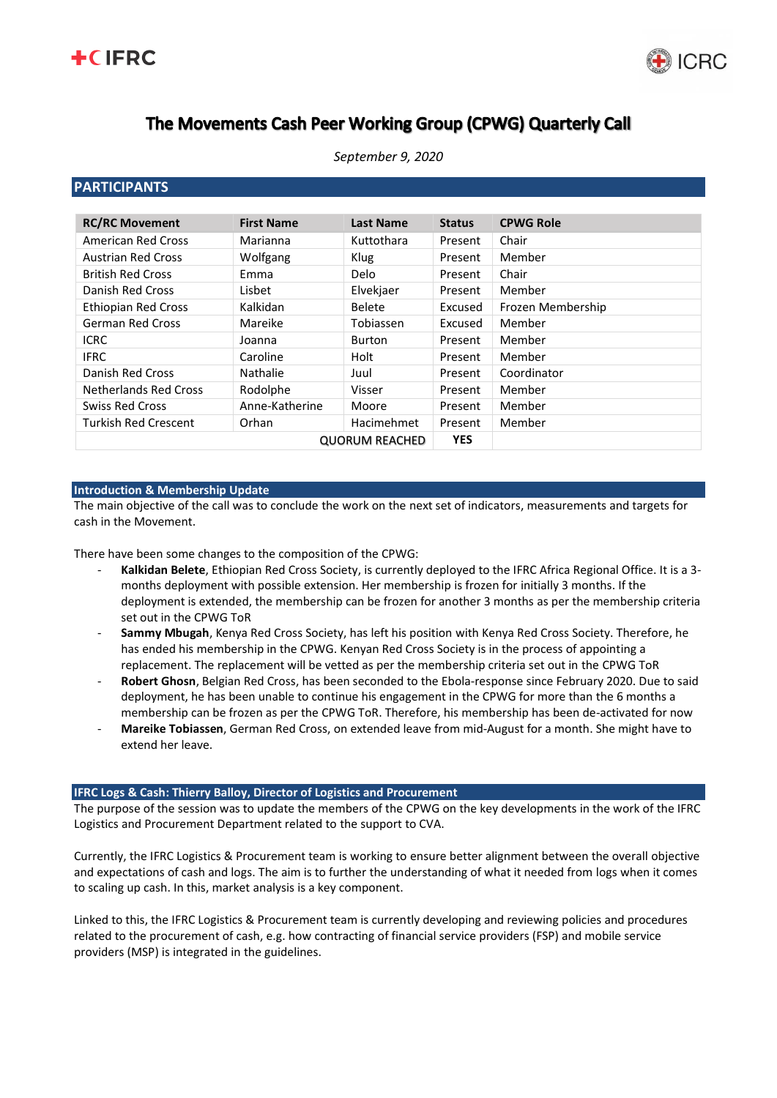



# The Movements Cash Peer Working Group (CPWG) Quarterly Call

## **PARTICIPANTS**

| <b>RC/RC Movement</b>       | <b>First Name</b> | <b>Last Name</b>  | <b>Status</b> | <b>CPWG Role</b>  |
|-----------------------------|-------------------|-------------------|---------------|-------------------|
| American Red Cross          | Marianna          | Kuttothara        | Present       | Chair             |
| <b>Austrian Red Cross</b>   | Wolfgang          | <b>Klug</b>       | Present       | Member            |
| <b>British Red Cross</b>    | Emma              | Delo              | Present       | Chair             |
| Danish Red Cross            | Lisbet            | Elvekjaer         | Present       | Member            |
| <b>Ethiopian Red Cross</b>  | Kalkidan          | <b>Belete</b>     | Excused       | Frozen Membership |
| <b>German Red Cross</b>     | Mareike           | Tobiassen         | Excused       | Member            |
| <b>ICRC</b>                 | Joanna            | Burton            | Present       | Member            |
| <b>IFRC</b>                 | Caroline          | Holt              | Present       | Member            |
| Danish Red Cross            | Nathalie          | Juul              | Present       | Coordinator       |
| Netherlands Red Cross       | Rodolphe          | Visser            | Present       | Member            |
| <b>Swiss Red Cross</b>      | Anne-Katherine    | Moore             | Present       | Member            |
| <b>Turkish Red Crescent</b> | Orhan             | <b>Hacimehmet</b> | Present       | Member            |
| <b>QUORUM REACHED</b>       |                   |                   | <b>YES</b>    |                   |

#### **Introduction & Membership Update**

The main objective of the call was to conclude the work on the next set of indicators, measurements and targets for cash in the Movement.

There have been some changes to the composition of the CPWG:

- **Kalkidan Belete**, Ethiopian Red Cross Society, is currently deployed to the IFRC Africa Regional Office. It is a 3 months deployment with possible extension. Her membership is frozen for initially 3 months. If the deployment is extended, the membership can be frozen for another 3 months as per the membership criteria set out in the CPWG ToR
- **Sammy Mbugah**, Kenya Red Cross Society, has left his position with Kenya Red Cross Society. Therefore, he has ended his membership in the CPWG. Kenyan Red Cross Society is in the process of appointing a replacement. The replacement will be vetted as per the membership criteria set out in the CPWG ToR
- **Robert Ghosn**, Belgian Red Cross, has been seconded to the Ebola-response since February 2020. Due to said deployment, he has been unable to continue his engagement in the CPWG for more than the 6 months a membership can be frozen as per the CPWG ToR. Therefore, his membership has been de-activated for now
- **Mareike Tobiassen**, German Red Cross, on extended leave from mid-August for a month. She might have to extend her leave.

#### **IFRC Logs & Cash: Thierry Balloy, Director of Logistics and Procurement**

The purpose of the session was to update the members of the CPWG on the key developments in the work of the IFRC Logistics and Procurement Department related to the support to CVA.

Currently, the IFRC Logistics & Procurement team is working to ensure better alignment between the overall objective and expectations of cash and logs. The aim is to further the understanding of what it needed from logs when it comes to scaling up cash. In this, market analysis is a key component.

Linked to this, the IFRC Logistics & Procurement team is currently developing and reviewing policies and procedures related to the procurement of cash, e.g. how contracting of financial service providers (FSP) and mobile service providers (MSP) is integrated in the guidelines.

## *September 9, 2020*